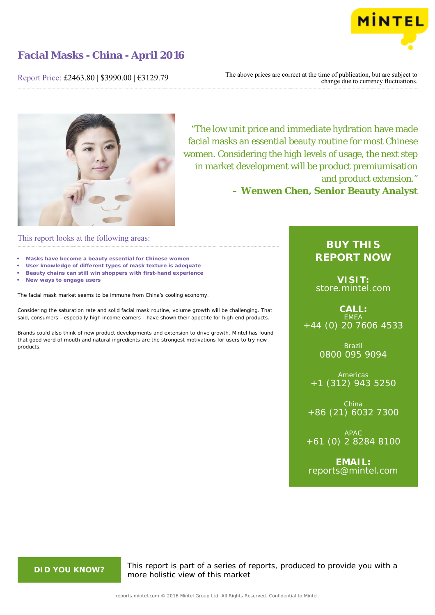

Report Price: £2463.80 | \$3990.00 | €3129.79

The above prices are correct at the time of publication, but are subject to change due to currency fluctuations.



"The low unit price and immediate hydration have made facial masks an essential beauty routine for most Chinese women. Considering the high levels of usage, the next step in market development will be product premiumisation and product extension."

**– Wenwen Chen, Senior Beauty Analyst**

## This report looks at the following areas:

- **• Masks have become a beauty essential for Chinese women**
- **• User knowledge of different types of mask texture is adequate**
- **• Beauty chains can still win shoppers with first-hand experience**
- **• New ways to engage users**

The facial mask market seems to be immune from China's cooling economy.

Considering the saturation rate and solid facial mask routine, volume growth will be challenging. That said, consumers - especially high income earners - have shown their appetite for high-end products.

Brands could also think of new product developments and extension to drive growth. Mintel has found that good word of mouth and natural ingredients are the strongest motivations for users to try new products.

## **BUY THIS REPORT NOW**

**VISIT:** [store.mintel.com](http://reports.mintel.com//display/store/747369/)

**CALL:** EMEA +44 (0) 20 7606 4533

> Brazil 0800 095 9094

Americas +1 (312) 943 5250

China +86 (21) 6032 7300

APAC +61 (0) 2 8284 8100

**EMAIL:** [reports@mintel.com](mailto:reports@mintel.com)

**DID YOU KNOW?** This report is part of a series of reports, produced to provide you with a more holistic view of this market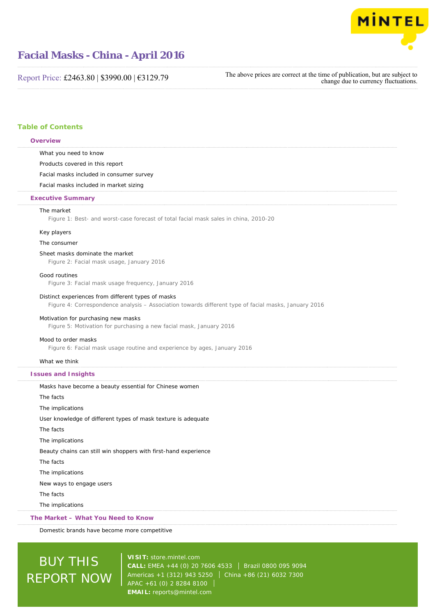

Report Price: £2463.80 | \$3990.00 | €3129.79

The above prices are correct at the time of publication, but are subject to change due to currency fluctuations.

### **Table of Contents**

#### **Overview**

What you need to know

Products covered in this report

Facial masks included in consumer survey

Facial masks included in market sizing

#### **Executive Summary**

#### The market

Figure 1: Best- and worst-case forecast of total facial mask sales in china, 2010-20

#### Key players

#### The consumer

#### Sheet masks dominate the market

Figure 2: Facial mask usage, January 2016

#### Good routines

Figure 3: Facial mask usage frequency, January 2016

#### Distinct experiences from different types of masks

Figure 4: Correspondence analysis – Association towards different type of facial masks, January 2016

### Motivation for purchasing new masks

Figure 5: Motivation for purchasing a new facial mask, January 2016

#### Mood to order masks

Figure 6: Facial mask usage routine and experience by ages, January 2016

#### What we think

#### **Issues and Insights**

| Masks have become a beauty essential for Chinese women          |
|-----------------------------------------------------------------|
| The facts                                                       |
| The implications                                                |
| User knowledge of different types of mask texture is adequate   |
| The facts                                                       |
| The implications                                                |
| Beauty chains can still win shoppers with first-hand experience |
| The facts                                                       |
| The implications                                                |
| New ways to engage users                                        |
| The facts                                                       |
| The implications                                                |

#### **The Market – What You Need to Know**

Domestic brands have become more competitive

# BUY THIS REPORT NOW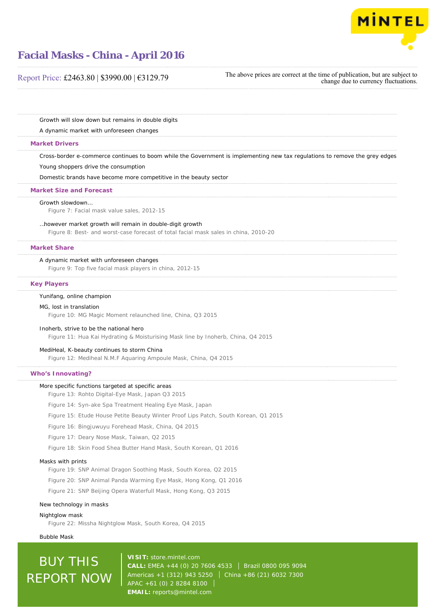

### Report Price: £2463.80 | \$3990.00 | €3129.79

The above prices are correct at the time of publication, but are subject to change due to currency fluctuations.

Growth will slow down but remains in double digits

A dynamic market with unforeseen changes

#### **Market Drivers**

Cross-border e-commerce continues to boom while the Government is implementing new tax regulations to remove the grey edges

Young shoppers drive the consumption

Domestic brands have become more competitive in the beauty sector

#### **Market Size and Forecast**

#### Growth slowdown…

Figure 7: Facial mask value sales, 2012-15

#### …however market growth will remain in double-digit growth

Figure 8: Best- and worst-case forecast of total facial mask sales in china, 2010-20

#### **Market Share**

#### A dynamic market with unforeseen changes

Figure 9: Top five facial mask players in china, 2012-15

#### **Key Players**

#### Yunifang, online champion

#### MG, lost in translation

Figure 10: MG Magic Moment relaunched line, China, Q3 2015

#### Inoherb, strive to be the national hero

Figure 11: Hua Kai Hydrating & Moisturising Mask line by Inoherb, China, Q4 2015

#### MediHeal, K-beauty continues to storm China

Figure 12: Mediheal N.M.F Aquaring Ampoule Mask, China, Q4 2015

#### **Who's Innovating?**

#### More specific functions targeted at specific areas

- Figure 13: Rohto Digital-Eye Mask, Japan Q3 2015
- Figure 14: Syn-ake Spa Treatment Healing Eye Mask, Japan
- Figure 15: Etude House Petite Beauty Winter Proof Lips Patch, South Korean, Q1 2015
- Figure 16: Bingjuwuyu Forehead Mask, China, Q4 2015
- Figure 17: Deary Nose Mask, Taiwan, Q2 2015
- Figure 18: Skin Food Shea Butter Hand Mask, South Korean, Q1 2016

#### Masks with prints

- Figure 19: SNP Animal Dragon Soothing Mask, South Korea, Q2 2015
- Figure 20: SNP Animal Panda Warming Eye Mask, Hong Kong, Q1 2016

Figure 21: SNP Beijing Opera Waterfull Mask, Hong Kong, Q3 2015

#### New technology in masks

Nightglow mask Figure 22: Missha Nightglow Mask, South Korea, Q4 2015

Bubble Mask

# **BUY THIS** REPORT NOW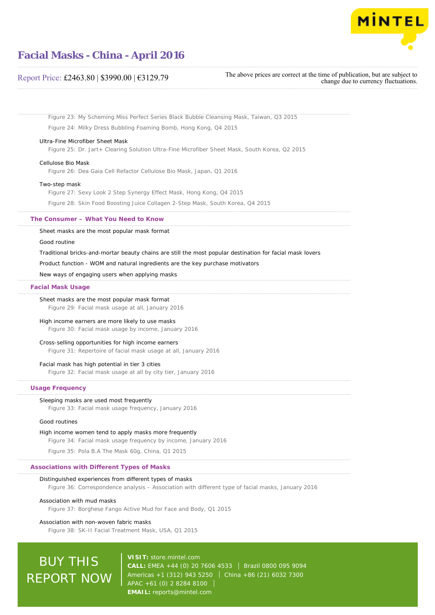

### Report Price: £2463.80 | \$3990.00 | €3129.79

The above prices are correct at the time of publication, but are subject to change due to currency fluctuations.

Figure 23: My Scheming Miss Perfect Series Black Bubble Cleansing Mask, Taiwan, Q3 2015 Figure 24: Milky Dress Bubbling Foaming Bomb, Hong Kong, Q4 2015

#### Ultra-Fine Microfiber Sheet Mask

Figure 25: Dr. Jart+ Clearing Solution Ultra-Fine Microfiber Sheet Mask, South Korea, Q2 2015

#### Cellulose Bio Mask

Figure 26: Dea Gaia Cell Refactor Cellulose Bio Mask, Japan, Q1 2016

#### Two-step mask

Figure 27: Sexy Look 2 Step Synergy Effect Mask, Hong Kong, Q4 2015

Figure 28: Skin Food Boosting Juice Collagen 2-Step Mask, South Korea, Q4 2015

#### **The Consumer – What You Need to Know**

Sheet masks are the most popular mask format

#### Good routine

Traditional bricks-and-mortar beauty chains are still the most popular destination for facial mask lovers

Product function - WOM and natural ingredients are the key purchase motivators

New ways of engaging users when applying masks

#### **Facial Mask Usage**

#### Sheet masks are the most popular mask format

Figure 29: Facial mask usage at all, January 2016

#### High income earners are more likely to use masks

Figure 30: Facial mask usage by income, January 2016

#### Cross-selling opportunities for high income earners

Figure 31: Repertoire of facial mask usage at all, January 2016

#### Facial mask has high potential in tier 3 cities

Figure 32: Facial mask usage at all by city tier, January 2016

#### **Usage Frequency**

#### Sleeping masks are used most frequently

Figure 33: Facial mask usage frequency, January 2016

#### Good routines

#### High income women tend to apply masks more frequently

Figure 34: Facial mask usage frequency by income, January 2016

Figure 35: Pola B.A The Mask 60g, China, Q1 2015

#### **Associations with Different Types of Masks**

#### Distinguished experiences from different types of masks

Figure 36: Correspondence analysis – Association with different type of facial masks, January 2016

#### Association with mud masks

Figure 37: Borghese Fango Active Mud for Face and Body, Q1 2015

#### Association with non-woven fabric masks

Figure 38: SK-II Facial Treatment Mask, USA, Q1 2015

# BUY THIS REPORT NOW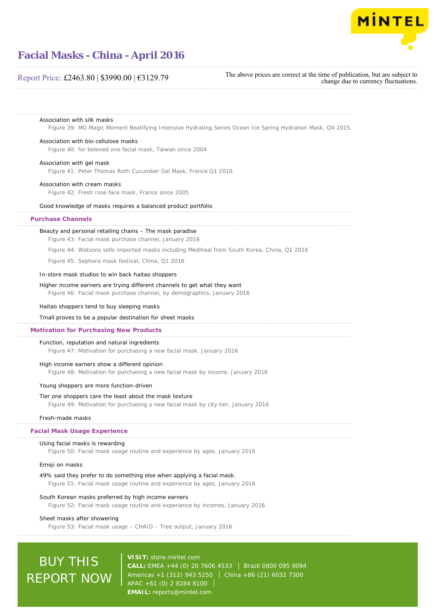

### Report Price: £2463.80 | \$3990.00 | €3129.79

The above prices are correct at the time of publication, but are subject to change due to currency fluctuations.

#### Association with silk masks

Figure 39: MG Magic Moment Beatifying Intensive Hydrating Series Ocean Ice Spring Hydration Mask, Q4 2015

#### Association with bio-cellulose masks

Figure 40: for beloved one facial mask, Taiwan since 2004

#### Association with gel mask

Figure 41: Peter Thomas Roth Cucumber Gel Mask, France Q1 2016

#### Association with cream masks

Figure 42: Fresh rose face mask, France since 2005

#### Good knowledge of masks requires a balanced product portfolio

#### **Purchase Channels**

#### Beauty and personal retailing chains – The mask paradise

Figure 43: Facial mask purchase channel, January 2016

Figure 44: Watsons sells imported masks including Mediheal from South Korea, China, Q1 2016

Figure 45: Sephora mask festival, China, Q1 2016

#### In-store mask studios to win back haitao shoppers

#### Higher income earners are trying different channels to get what they want

Figure 46: Facial mask purchase channel, by demographics, January 2016

#### Haitao shoppers tend to buy sleeping masks

#### Tmall proves to be a popular destination for sheet masks

#### **Motivation for Purchasing New Products**

#### Function, reputation and natural ingredients

Figure 47: Motivation for purchasing a new facial mask, January 2016

#### High income earners show a different opinion

Figure 48: Motivation for purchasing a new facial mask by income, January 2016

#### Young shoppers are more function-driven

#### Tier one shoppers care the least about the mask texture

Figure 49: Motivation for purchasing a new facial mask by city tier, January 2016

#### Fresh-made masks

#### **Facial Mask Usage Experience**

#### Using facial masks is rewarding

Figure 50: Facial mask usage routine and experience by ages, January 2016

#### Emoji on masks

#### 49% said they prefer to do something else when applying a facial mask.

Figure 51: Facial mask usage routine and experience by ages, January 2016

#### South Korean masks preferred by high income earners

Figure 52: Facial mask usage routine and experience by incomes, January 2016

#### Sheet masks after showering

Figure 53: Facial mask usage – CHAID – Tree output, January 2016

# BUY THIS REPORT NOW